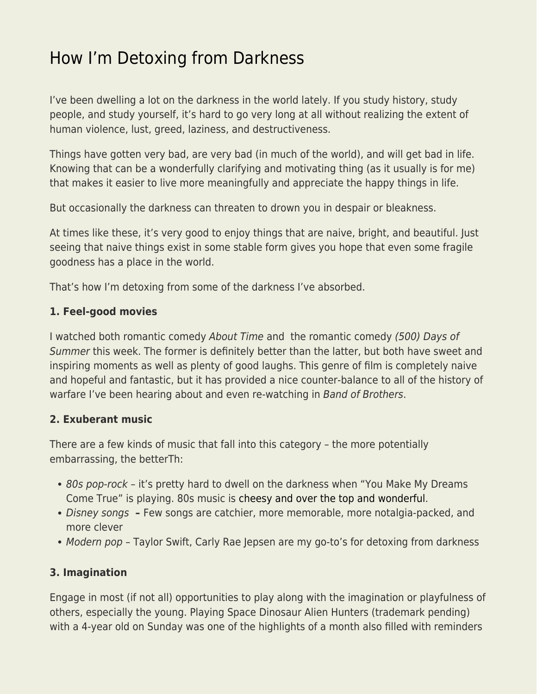## [How I'm Detoxing from Darkness](https://everything-voluntary.com/how-im-detoxing-from-darkness)

I've been dwelling a lot on the darkness in the world lately. If you study history, study people, and study yourself, it's hard to go very long at all without realizing the extent of human violence, lust, greed, laziness, and destructiveness.

Things have gotten very bad, are very bad (in much of the world), and will get bad in life. Knowing that can be a wonderfully clarifying and motivating thing (as it usually is for me) that makes it easier to live more meaningfully and appreciate the happy things in life.

But occasionally the darkness can threaten to drown you in despair or bleakness.

At times like these, it's very good to enjoy things that are naive, bright, and beautiful. Just seeing that naive things exist in some stable form gives you hope that even some fragile goodness has a place in the world.

That's how I'm detoxing from some of the darkness I've absorbed.

## **1. Feel-good movies**

I watched both romantic comedy About Time and the romantic comedy (500) Days of Summer this week. The former is definitely better than the latter, but both have sweet and inspiring moments as well as plenty of good laughs. This genre of film is completely naive and hopeful and fantastic, but it has provided a nice counter-balance to all of the history of warfare I've been hearing about and even re-watching in Band of Brothers.

## **2. Exuberant music**

There are a few kinds of music that fall into this category – the more potentially embarrassing, the betterTh:

- 80s pop-rock it's pretty hard to dwell on the darkness when "You Make My Dreams" Come True" is playing. 80s music is [cheesy and over the top and wonderful.](https://www.jameswalpole.com/80s-music/)
- Disney songs Few songs are catchier, more memorable, more notalgia-packed, and more clever
- Modern pop Taylor Swift, Carly Rae Jepsen are my go-to's for detoxing from darkness

## **3. Imagination**

Engage in most (if not all) opportunities to play along with the imagination or playfulness of others, especially the young. Playing Space Dinosaur Alien Hunters (trademark pending) with a 4-year old on Sunday was one of the highlights of a month also filled with reminders